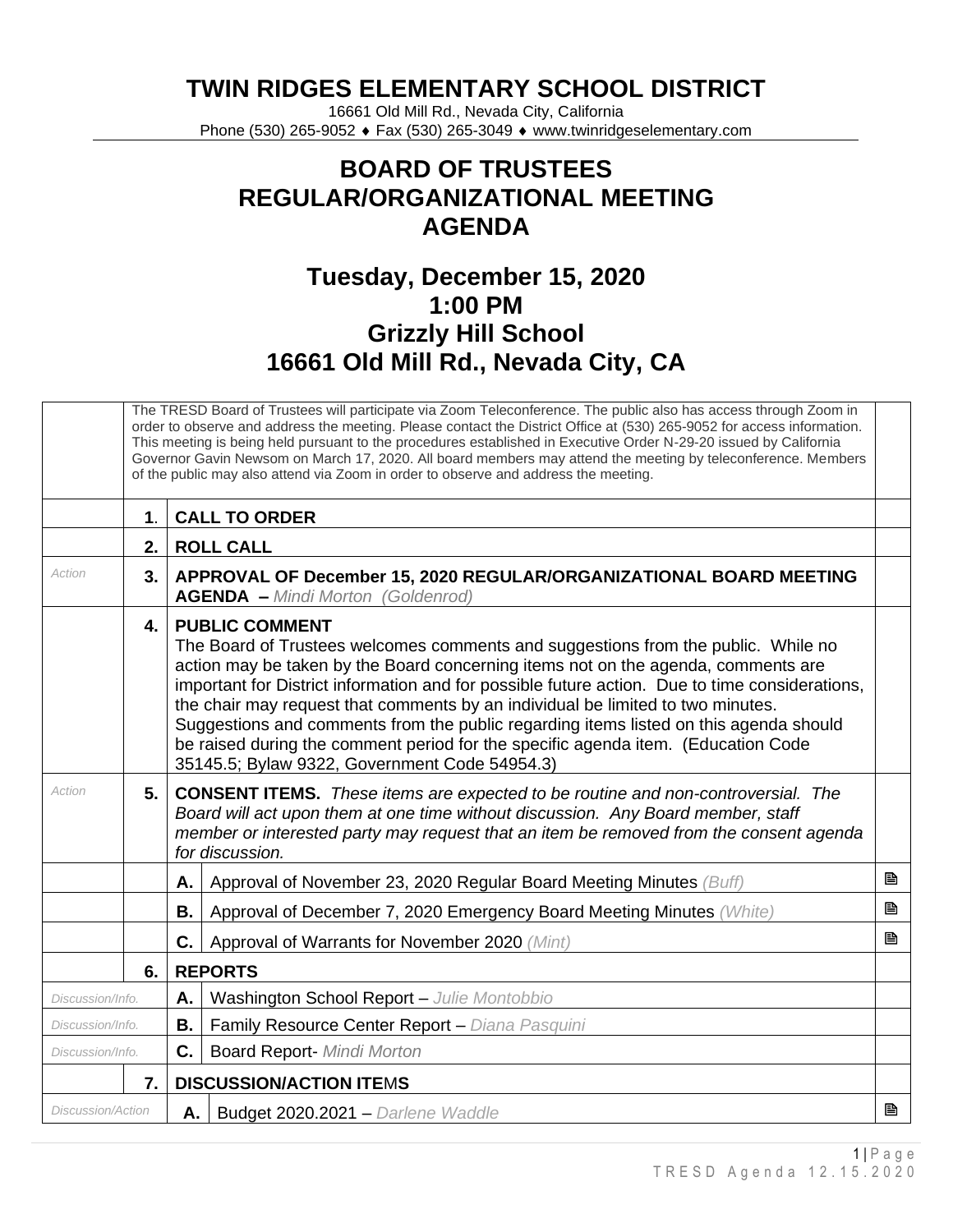**TWIN RIDGES ELEMENTARY SCHOOL DISTRICT**

16661 Old Mill Rd., Nevada City, California Phone (530) 265-9052 ♦ Fax (530) 265-3049 ♦ www.twinridgeselementary.com

## **BOARD OF TRUSTEES REGULAR/ORGANIZATIONAL MEETING AGENDA**

## **Tuesday, December 15, 2020 1:00 PM Grizzly Hill School 16661 Old Mill Rd., Nevada City, CA**

|                          | The TRESD Board of Trustees will participate via Zoom Teleconference. The public also has access through Zoom in<br>order to observe and address the meeting. Please contact the District Office at (530) 265-9052 for access information.<br>This meeting is being held pursuant to the procedures established in Executive Order N-29-20 issued by California<br>Governor Gavin Newsom on March 17, 2020. All board members may attend the meeting by teleconference. Members<br>of the public may also attend via Zoom in order to observe and address the meeting. |                                                                                                                                                                                                                                                                                                                                                                                                                                                                                                                                                                                                                     |   |  |  |  |  |
|--------------------------|------------------------------------------------------------------------------------------------------------------------------------------------------------------------------------------------------------------------------------------------------------------------------------------------------------------------------------------------------------------------------------------------------------------------------------------------------------------------------------------------------------------------------------------------------------------------|---------------------------------------------------------------------------------------------------------------------------------------------------------------------------------------------------------------------------------------------------------------------------------------------------------------------------------------------------------------------------------------------------------------------------------------------------------------------------------------------------------------------------------------------------------------------------------------------------------------------|---|--|--|--|--|
|                          | $\mathbf 1$ .                                                                                                                                                                                                                                                                                                                                                                                                                                                                                                                                                          | <b>CALL TO ORDER</b>                                                                                                                                                                                                                                                                                                                                                                                                                                                                                                                                                                                                |   |  |  |  |  |
|                          | 2.                                                                                                                                                                                                                                                                                                                                                                                                                                                                                                                                                                     | <b>ROLL CALL</b>                                                                                                                                                                                                                                                                                                                                                                                                                                                                                                                                                                                                    |   |  |  |  |  |
| Action                   | 3.                                                                                                                                                                                                                                                                                                                                                                                                                                                                                                                                                                     | APPROVAL OF December 15, 2020 REGULAR/ORGANIZATIONAL BOARD MEETING<br><b>AGENDA - Mindi Morton (Goldenrod)</b>                                                                                                                                                                                                                                                                                                                                                                                                                                                                                                      |   |  |  |  |  |
|                          | 4.                                                                                                                                                                                                                                                                                                                                                                                                                                                                                                                                                                     | <b>PUBLIC COMMENT</b><br>The Board of Trustees welcomes comments and suggestions from the public. While no<br>action may be taken by the Board concerning items not on the agenda, comments are<br>important for District information and for possible future action. Due to time considerations,<br>the chair may request that comments by an individual be limited to two minutes.<br>Suggestions and comments from the public regarding items listed on this agenda should<br>be raised during the comment period for the specific agenda item. (Education Code<br>35145.5; Bylaw 9322, Government Code 54954.3) |   |  |  |  |  |
| Action                   | 5.                                                                                                                                                                                                                                                                                                                                                                                                                                                                                                                                                                     | <b>CONSENT ITEMS.</b> These items are expected to be routine and non-controversial. The<br>Board will act upon them at one time without discussion. Any Board member, staff<br>member or interested party may request that an item be removed from the consent agenda<br>for discussion.                                                                                                                                                                                                                                                                                                                            |   |  |  |  |  |
|                          |                                                                                                                                                                                                                                                                                                                                                                                                                                                                                                                                                                        | Approval of November 23, 2020 Regular Board Meeting Minutes (Buff)<br>А.                                                                                                                                                                                                                                                                                                                                                                                                                                                                                                                                            | B |  |  |  |  |
|                          |                                                                                                                                                                                                                                                                                                                                                                                                                                                                                                                                                                        | Approval of December 7, 2020 Emergency Board Meeting Minutes (White)<br>Β.                                                                                                                                                                                                                                                                                                                                                                                                                                                                                                                                          | B |  |  |  |  |
|                          |                                                                                                                                                                                                                                                                                                                                                                                                                                                                                                                                                                        | C.<br>Approval of Warrants for November 2020 (Mint)                                                                                                                                                                                                                                                                                                                                                                                                                                                                                                                                                                 | ₿ |  |  |  |  |
|                          | 6.                                                                                                                                                                                                                                                                                                                                                                                                                                                                                                                                                                     | <b>REPORTS</b>                                                                                                                                                                                                                                                                                                                                                                                                                                                                                                                                                                                                      |   |  |  |  |  |
| Discussion/Info.         |                                                                                                                                                                                                                                                                                                                                                                                                                                                                                                                                                                        | Washington School Report - Julie Montobbio<br>А.                                                                                                                                                                                                                                                                                                                                                                                                                                                                                                                                                                    |   |  |  |  |  |
| Discussion/Info.         |                                                                                                                                                                                                                                                                                                                                                                                                                                                                                                                                                                        | Family Resource Center Report - Diana Pasquini<br>В.                                                                                                                                                                                                                                                                                                                                                                                                                                                                                                                                                                |   |  |  |  |  |
| Discussion/Info.         |                                                                                                                                                                                                                                                                                                                                                                                                                                                                                                                                                                        | C.<br><b>Board Report- Mindi Morton</b>                                                                                                                                                                                                                                                                                                                                                                                                                                                                                                                                                                             |   |  |  |  |  |
|                          | 7.                                                                                                                                                                                                                                                                                                                                                                                                                                                                                                                                                                     | <b>DISCUSSION/ACTION ITEMS</b>                                                                                                                                                                                                                                                                                                                                                                                                                                                                                                                                                                                      |   |  |  |  |  |
| <b>Discussion/Action</b> |                                                                                                                                                                                                                                                                                                                                                                                                                                                                                                                                                                        | A.   Budget 2020.2021 - Darlene Waddle                                                                                                                                                                                                                                                                                                                                                                                                                                                                                                                                                                              | B |  |  |  |  |